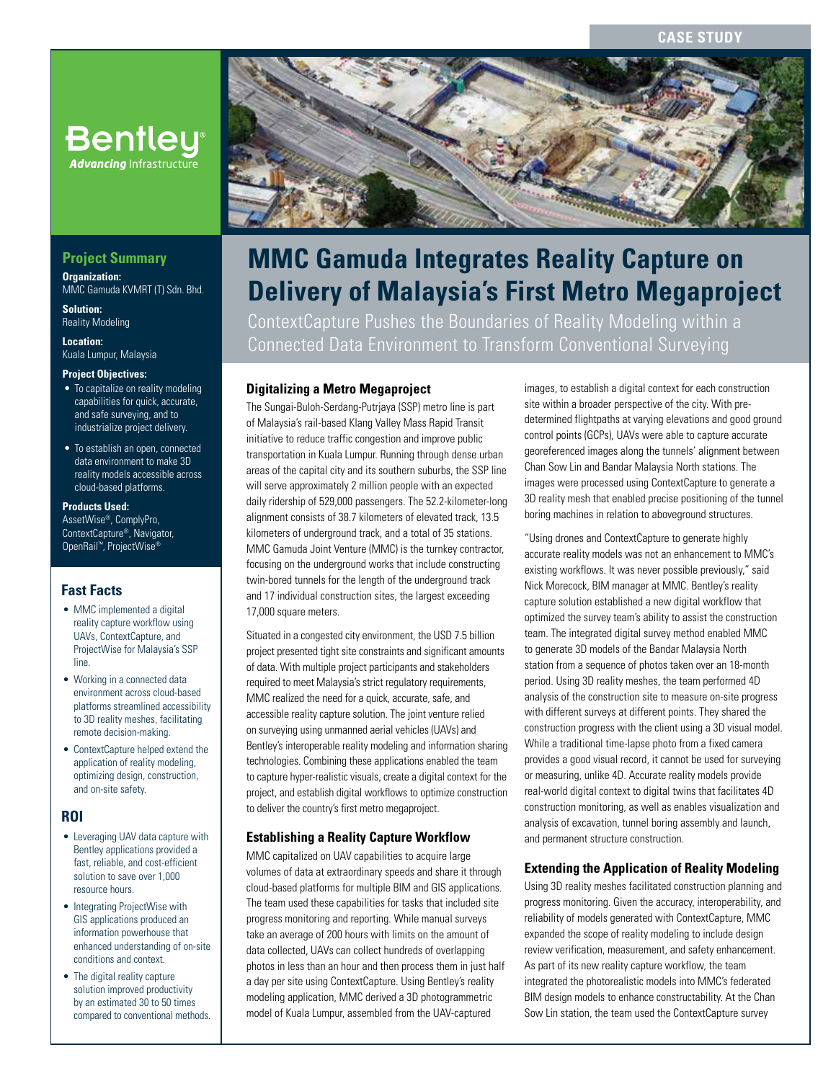# **CASE STUDY**

# **Bentley® Advancing Infrastructure**

# **Project Summary**

**Organization:**  MMC Gamuda KVMRT (T) Sdn. Bhd.

**Solution:**  Reality Modeling

**Location:**  Kuala Lumpur, Malaysia

#### **Project Objectives:**

- To capitalize on reality modeling capabilities for quick, accurate, and safe surveying, and to industrialize project delivery.
- To establish an open, connected data environment to make 3D reality models accessible across cloud-based platforms.

### **Products Used:**

AssetWise®, ComplyPro, ContextCapture®, Navigator, OpenRail™, ProjectWise®

### **Fast Facts**

- MMC implemented a digital reality capture workflow using UAVs, ContextCapture, and ProjectWise for Malaysia's SSP line.
- Working in a connected data environment across cloud-based platforms streamlined accessibility to 3D reality meshes, facilitating remote decision-making.
- ContextCapture helped extend the application of reality modeling, optimizing design, construction, and on-site safety.

### **ROI**

- Leveraging UAV data capture with Bentley applications provided a fast, reliable, and cost-efficient solution to save over 1,000 resource hours.
- Integrating ProjectWise with GIS applications produced an information powerhouse that enhanced understanding of on-site conditions and context.
- The digital reality capture solution improved productivity by an estimated 30 to 50 times compared to conventional methods.



# **MMC Gamuda Integrates Reality Capture on Delivery of Malaysia's First Metro Megaproject**

ContextCapture Pushes the Boundaries of Reality Modeling within a Connected Data Environment to Transform Conventional Surveying

# **Digitalizing a Metro Megaproject**

The Sungai-Buloh-Serdang-Putrjaya (SSP) metro line is part of Malaysia's rail-based Klang Valley Mass Rapid Transit initiative to reduce traffic congestion and improve public transportation in Kuala Lumpur. Running through dense urban areas of the capital city and its southern suburbs, the SSP line will serve approximately 2 million people with an expected daily ridership of 529,000 passengers. The 52.2-kilometer-long alignment consists of 38.7 kilometers of elevated track, 13.5 kilometers of underground track, and a total of 35 stations. MMC Gamuda Joint Venture (MMC) is the turnkey contractor, focusing on the underground works that include constructing twin-bored tunnels for the length of the underground track and 17 individual construction sites, the largest exceeding 17,000 square meters.

Situated in a congested city environment, the USD 7.5 billion project presented tight site constraints and significant amounts of data. With multiple project participants and stakeholders required to meet Malaysia's strict regulatory requirements, MMC realized the need for a quick, accurate, safe, and accessible reality capture solution. The joint venture relied on surveying using unmanned aerial vehicles (UAVs) and Bentley's interoperable reality modeling and information sharing technologies. Combining these applications enabled the team to capture hyper-realistic visuals, create a digital context for the project, and establish digital workflows to optimize construction to deliver the country's first metro megaproject.

### **Establishing a Reality Capture Workflow**

MMC capitalized on UAV capabilities to acquire large volumes of data at extraordinary speeds and share it through cloud-based platforms for multiple BIM and GIS applications. The team used these capabilities for tasks that included site progress monitoring and reporting. While manual surveys take an average of 200 hours with limits on the amount of data collected, UAVs can collect hundreds of overlapping photos in less than an hour and then process them in just half a day per site using ContextCapture. Using Bentley's reality modeling application, MMC derived a 3D photogrammetric model of Kuala Lumpur, assembled from the UAV-captured

images, to establish a digital context for each construction site within a broader perspective of the city. With predetermined flightpaths at varying elevations and good ground control points (GCPs), UAVs were able to capture accurate georeferenced images along the tunnels' alignment between Chan Sow Lin and Bandar Malaysia North stations. The images were processed using ContextCapture to generate a 3D reality mesh that enabled precise positioning of the tunnel boring machines in relation to aboveground structures.

"Using drones and ContextCapture to generate highly accurate reality models was not an enhancement to MMC's existing workflows. It was never possible previously," said Nick Morecock, BIM manager at MMC. Bentley's reality capture solution established a new digital workflow that optimized the survey team's ability to assist the construction team. The integrated digital survey method enabled MMC to generate 3D models of the Bandar Malaysia North station from a sequence of photos taken over an 18-month period. Using 3D reality meshes, the team performed 4D analysis of the construction site to measure on-site progress with different surveys at different points. They shared the construction progress with the client using a 3D visual model. While a traditional time-lapse photo from a fixed camera provides a good visual record, it cannot be used for surveying or measuring, unlike 4D. Accurate reality models provide real-world digital context to digital twins that facilitates 4D construction monitoring, as well as enables visualization and analysis of excavation, tunnel boring assembly and launch, and permanent structure construction.

### **Extending the Application of Reality Modeling**

Using 3D reality meshes facilitated construction planning and progress monitoring. Given the accuracy, interoperability, and reliability of models generated with ContextCapture, MMC expanded the scope of reality modeling to include design review verification, measurement, and safety enhancement. As part of its new reality capture workflow, the team integrated the photorealistic models into MMC's federated BIM design models to enhance constructability. At the Chan Sow Lin station, the team used the ContextCapture survey